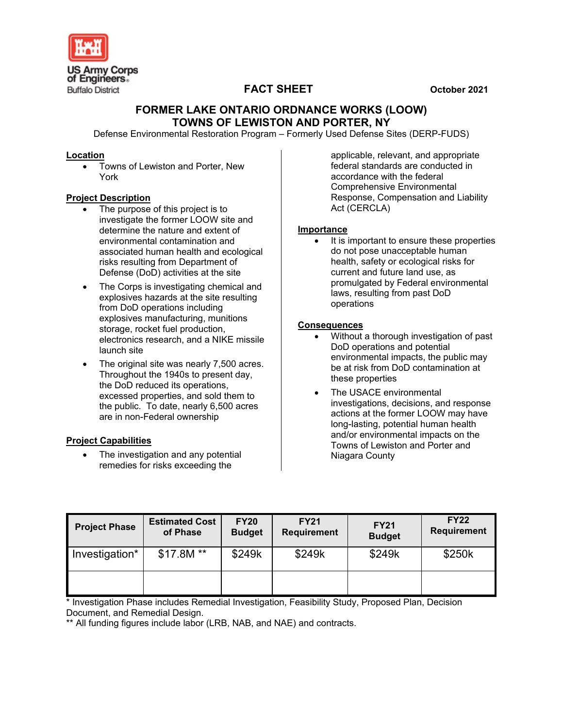

# **FACT SHEET October 2021**

## **FORMER LAKE ONTARIO ORDNANCE WORKS (LOOW) TOWNS OF LEWISTON AND PORTER, NY**

Defense Environmental Restoration Program – Formerly Used Defense Sites (DERP-FUDS)

#### **Location**

• Towns of Lewiston and Porter, New York

## **Project Description**

- The purpose of this project is to investigate the former LOOW site and determine the nature and extent of environmental contamination and associated human health and ecological risks resulting from Department of Defense (DoD) activities at the site
- The Corps is investigating chemical and explosives hazards at the site resulting from DoD operations including explosives manufacturing, munitions storage, rocket fuel production, electronics research, and a NIKE missile launch site
- The original site was nearly 7,500 acres. Throughout the 1940s to present day, the DoD reduced its operations, excessed properties, and sold them to the public. To date, nearly 6,500 acres are in non-Federal ownership

## **Project Capabilities**

The investigation and any potential remedies for risks exceeding the

applicable, relevant, and appropriate federal standards are conducted in accordance with the federal Comprehensive Environmental Response, Compensation and Liability Act (CERCLA)

#### **Importance**

It is important to ensure these properties do not pose unacceptable human health, safety or ecological risks for current and future land use, as promulgated by Federal environmental laws, resulting from past DoD operations

#### **Consequences**

- Without a thorough investigation of past DoD operations and potential environmental impacts, the public may be at risk from DoD contamination at these properties
- The USACE environmental investigations, decisions, and response actions at the former LOOW may have long-lasting, potential human health and/or environmental impacts on the Towns of Lewiston and Porter and Niagara County

| <b>Project Phase</b> | <b>Estimated Cost</b><br>of Phase | <b>FY20</b><br><b>Budget</b> | <b>FY21</b><br><b>Requirement</b> | <b>FY21</b><br><b>Budget</b> | <b>FY22</b><br><b>Requirement</b> |
|----------------------|-----------------------------------|------------------------------|-----------------------------------|------------------------------|-----------------------------------|
| Investigation*       | $$17.8M **$                       | \$249k                       | \$249k                            | \$249k                       | \$250k                            |
|                      |                                   |                              |                                   |                              |                                   |

\* Investigation Phase includes Remedial Investigation, Feasibility Study, Proposed Plan, Decision Document, and Remedial Design.

\*\* All funding figures include labor (LRB, NAB, and NAE) and contracts.